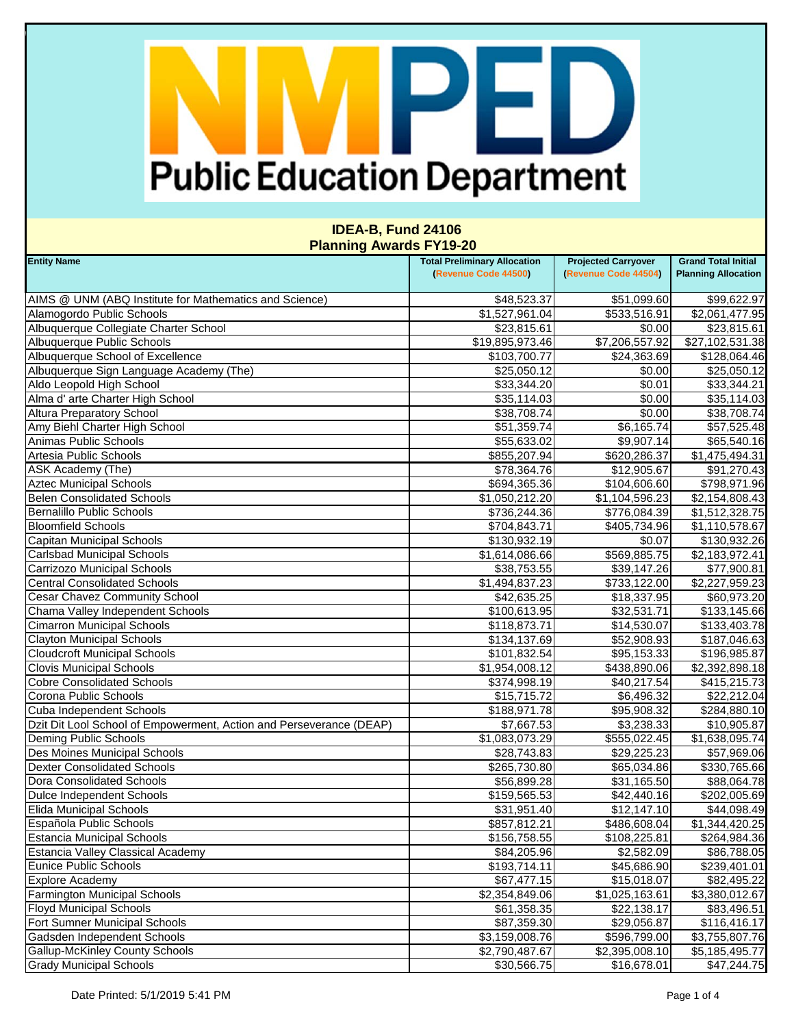### PE H) **Public Education Department**

#### **IDEA-B, Fund 24106 Planning Awards FY19-20**

| <b>Entity Name</b>                                                  | <b>Total Preliminary Allocation</b> | <b>Projected Carryover</b> | <b>Grand Total Initial</b> |
|---------------------------------------------------------------------|-------------------------------------|----------------------------|----------------------------|
|                                                                     | (Revenue Code 44500)                | (Revenue Code 44504)       | <b>Planning Allocation</b> |
| AIMS @ UNM (ABQ Institute for Mathematics and Science)              | \$48,523.37                         | \$51,099.60                | \$99,622.97                |
| Alamogordo Public Schools                                           | \$1,527,961.04                      | \$533,516.91               | \$2,061,477.95             |
| Albuquerque Collegiate Charter School                               | \$23,815.61                         | \$0.00                     | \$23,815.61                |
| Albuquerque Public Schools                                          | \$19,895,973.46                     | \$7,206,557.92             | \$27,102,531.38            |
| Albuquerque School of Excellence                                    | \$103,700.77                        | \$24,363.69                | \$128,064.46               |
| Albuquerque Sign Language Academy (The)                             | \$25,050.12                         | \$0.00                     | \$25,050.12                |
| Aldo Leopold High School                                            | \$33,344.20                         | \$0.01                     | \$33,344.21                |
| Alma d' arte Charter High School                                    | \$35,114.03                         | \$0.00                     | \$35,114.03                |
| <b>Altura Preparatory School</b>                                    | \$38,708.74                         | \$0.00                     | \$38,708.74                |
| Amy Biehl Charter High School                                       | \$51,359.74                         | \$6,165.74                 | \$57,525.48                |
| Animas Public Schools                                               | \$55,633.02                         | \$9,907.14                 | \$65,540.16                |
| Artesia Public Schools                                              | \$855,207.94                        | \$620,286.37               | \$1,475,494.31             |
| ASK Academy (The)                                                   | \$78,364.76                         | \$12,905.67                | \$91,270.43                |
| <b>Aztec Municipal Schools</b>                                      | \$694,365.36                        | \$104,606.60               | \$798,971.96               |
| <b>Belen Consolidated Schools</b>                                   | \$1,050,212.20                      | \$1,104,596.23             | \$2,154,808.43             |
| Bernalillo Public Schools                                           | \$736,244.36                        | \$776,084.39               | \$1,512,328.75             |
| <b>Bloomfield Schools</b>                                           | \$704,843.71                        | \$405,734.96               | \$1,110,578.67             |
| Capitan Municipal Schools                                           | \$130,932.19                        | \$0.07                     | \$130,932.26               |
| <b>Carlsbad Municipal Schools</b>                                   | \$1,614,086.66                      | \$569,885.75               | \$2,183,972.41             |
| Carrizozo Municipal Schools                                         | \$38,753.55                         | \$39,147.26                | \$77,900.81                |
| <b>Central Consolidated Schools</b>                                 | \$1,494,837.23                      | \$733,122.00               | \$2,227,959.23             |
| Cesar Chavez Community School                                       | \$42,635.25                         | \$18,337.95                | \$60,973.20                |
| Chama Valley Independent Schools                                    | \$100,613.95                        | \$32,531.71                | \$133,145.66               |
| <b>Cimarron Municipal Schools</b>                                   | \$118,873.71                        | \$14,530.07                | \$133,403.78               |
| <b>Clayton Municipal Schools</b>                                    | \$134,137.69                        | \$52,908.93                | \$187,046.63               |
| <b>Cloudcroft Municipal Schools</b>                                 | \$101,832.54                        | \$95,153.33                | \$196,985.87               |
| <b>Clovis Municipal Schools</b>                                     | \$1,954,008.12                      | \$438,890.06               | \$2,392,898.18             |
| <b>Cobre Consolidated Schools</b>                                   | \$374,998.19                        | \$40,217.54                | \$415,215.73               |
| Corona Public Schools                                               | \$15,715.72                         | \$6,496.32                 | \$22,212.04                |
| Cuba Independent Schools                                            | \$188,971.78                        | \$95,908.32                | \$284,880.10               |
| Dzit Dit Lool School of Empowerment, Action and Perseverance (DEAP) | \$7,667.53                          | \$3,238.33                 | \$10,905.87                |
| Deming Public Schools                                               | \$1,083,073.29                      | \$555,022.45               | \$1,638,095.74             |
| Des Moines Municipal Schools                                        | \$28,743.83                         | \$29,225.23                | \$57,969.06                |
| <b>Dexter Consolidated Schools</b>                                  | \$265,730.80                        | \$65,034.86                | \$330,765.66               |
| Dora Consolidated Schools                                           | \$56,899.28                         | \$31,165.50                | \$88,064.78                |
| Dulce Independent Schools                                           | \$159,565.53                        | \$42,440.16                | \$202,005.69               |
| <b>Elida Municipal Schools</b>                                      | \$31,951.40                         | \$12,147.10                | \$44,098.49                |
| Española Public Schools                                             | \$857,812.21                        | \$486,608.04               | \$1,344,420.25             |
| <b>Estancia Municipal Schools</b>                                   | \$156,758.55                        | \$108,225.81               | \$264,984.36               |
| <b>Estancia Valley Classical Academy</b>                            | \$84,205.96                         | \$2,582.09                 | \$86,788.05                |
| <b>Eunice Public Schools</b>                                        | \$193,714.11                        | \$45,686.90                | \$239,401.01               |
| <b>Explore Academy</b>                                              | \$67,477.15                         | \$15,018.07                | \$82,495.22                |
| <b>Farmington Municipal Schools</b>                                 | \$2,354,849.06                      | \$1,025,163.61             |                            |
| <b>Floyd Municipal Schools</b>                                      |                                     |                            | \$3,380,012.67             |
| Fort Sumner Municipal Schools                                       | \$61,358.35                         | \$22,138.17                | \$83,496.51                |
|                                                                     | \$87,359.30                         | \$29,056.87                | \$116,416.17               |
| Gadsden Independent Schools                                         | \$3,159,008.76                      | \$596,799.00               | \$3,755,807.76             |
| <b>Gallup-McKinley County Schools</b>                               | \$2,790,487.67                      | \$2,395,008.10             | \$5,185,495.77             |
| <b>Grady Municipal Schools</b>                                      | \$30,566.75                         | \$16,678.01                | \$47,244.75                |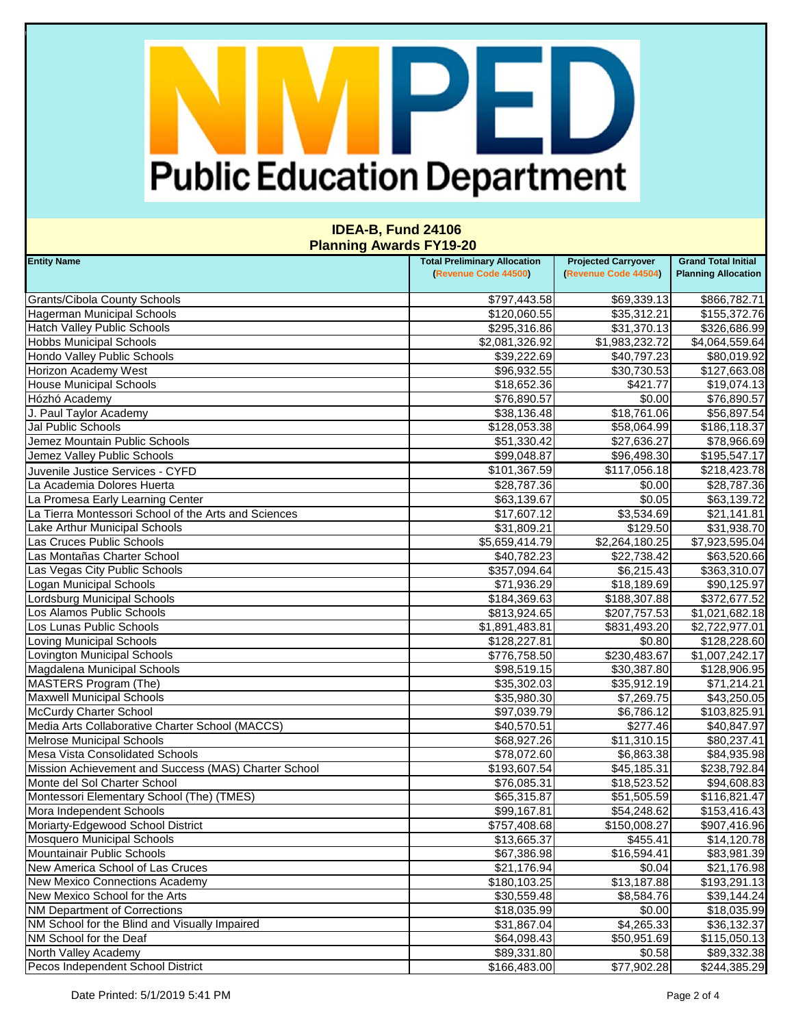# PED **Public Education Department**

#### **IDEA-B, Fund 24106 Planning Awards FY19-20**

| <b>Entity Name</b>                                   | <b>Total Preliminary Allocation</b> | <b>Projected Carryover</b> | <b>Grand Total Initial</b>  |
|------------------------------------------------------|-------------------------------------|----------------------------|-----------------------------|
|                                                      | (Revenue Code 44500)                | (Revenue Code 44504)       | <b>Planning Allocation</b>  |
| <b>Grants/Cibola County Schools</b>                  | \$797,443.58                        | \$69,339.13                | \$866,782.71                |
| <b>Hagerman Municipal Schools</b>                    | \$120,060.55                        | \$35,312.21                | \$155,372.76                |
| <b>Hatch Valley Public Schools</b>                   | \$295,316.86                        | \$31,370.13                | \$326,686.99                |
| <b>Hobbs Municipal Schools</b>                       | \$2,081,326.92                      | \$1,983,232.72             | \$4,064,559.64              |
| Hondo Valley Public Schools                          | \$39,222.69                         | \$40,797.23                | \$80,019.92                 |
| <b>Horizon Academy West</b>                          | \$96,932.55                         | \$30,730.53                | \$127,663.08                |
| <b>House Municipal Schools</b>                       | \$18,652.36                         | \$421.77                   | \$19,074.13                 |
| Hózhó Academy                                        | \$76,890.57                         | \$0.00                     | \$76,890.57                 |
| J. Paul Taylor Academy                               | \$38,136.48                         | \$18,761.06                | \$56,897.54                 |
| Jal Public Schools                                   | \$128,053.38                        | \$58,064.99                | \$186,118.37                |
| Jemez Mountain Public Schools                        | \$51,330.42                         | \$27,636.27                | \$78,966.69                 |
| Jemez Valley Public Schools                          | \$99,048.87                         | \$96,498.30                | \$195,547.17                |
| Juvenile Justice Services - CYFD                     | \$101,367.59                        | \$117,056.18               | \$218,423.78                |
| La Academia Dolores Huerta                           | \$28,787.36                         | \$0.00                     | \$28,787.36                 |
| La Promesa Early Learning Center                     | \$63,139.67                         | \$0.05                     | \$63,139.72                 |
| La Tierra Montessori School of the Arts and Sciences | \$17,607.12                         | \$3,534.69                 | \$21,141.81                 |
| Lake Arthur Municipal Schools                        | \$31,809.21                         | \$129.50                   | \$31,938.70                 |
| Las Cruces Public Schools                            | \$5,659,414.79                      | \$2,264,180.25             | \$7,923,595.04              |
| Las Montañas Charter School                          | \$40,782.23                         | \$22,738.42                | \$63,520.66                 |
| Las Vegas City Public Schools                        | \$357,094.64                        | \$6,215.43                 | \$363,310.07                |
| <b>Logan Municipal Schools</b>                       | \$71,936.29                         | \$18,189.69                | \$90,125.97                 |
| Lordsburg Municipal Schools                          | \$184,369.63                        | \$188,307.88               | \$372,677.52                |
| Los Alamos Public Schools                            | \$813,924.65                        | \$207,757.53               | $\overline{\$1,021,682.18}$ |
| Los Lunas Public Schools                             | \$1,891,483.81                      | \$831,493.20               | \$2,722,977.01              |
| <b>Loving Municipal Schools</b>                      | \$128,227.81                        | \$0.80                     | \$128,228.60                |
| Lovington Municipal Schools                          | \$776,758.50                        | \$230,483.67               | \$1,007,242.17              |
| Magdalena Municipal Schools                          | \$98,519.15                         | \$30,387.80                | \$128,906.95                |
| MASTERS Program (The)                                | \$35,302.03                         | \$35,912.19                | \$71,214.21                 |
| <b>Maxwell Municipal Schools</b>                     | \$35,980.30                         | \$7,269.75                 | \$43,250.05                 |
| <b>McCurdy Charter School</b>                        | \$97,039.79                         | \$6,786.12                 | \$103,825.91                |
| Media Arts Collaborative Charter School (MACCS)      | \$40,570.51                         | \$277.46                   | \$40,847.97                 |
| <b>Melrose Municipal Schools</b>                     | \$68,927.26                         | \$11,310.15                | \$80,237.41                 |
| Mesa Vista Consolidated Schools                      | \$78,072.60                         | \$6,863.38                 | \$84,935.98                 |
| Mission Achievement and Success (MAS) Charter School | \$193,607.54                        | \$45,185.31                | \$238,792.84                |
| Monte del Sol Charter School                         | \$76,085.31                         | \$18,523.52                | \$94,608.83                 |
| Montessori Elementary School (The) (TMES)            | \$65,315.87                         | \$51,505.59                | \$116,821.47                |
| Mora Independent Schools                             | \$99,167.81                         | \$54,248.62                | \$153,416.43                |
| Moriarty-Edgewood School District                    | \$757,408.68                        | \$150,008.27               | \$907,416.96                |
| <b>Mosquero Municipal Schools</b>                    | \$13,665.37                         | \$455.41                   | \$14,120.78                 |
| Mountainair Public Schools                           | \$67,386.98                         | \$16,594.41                | \$83,981.39                 |
| New America School of Las Cruces                     | \$21,176.94                         | \$0.04                     | \$21,176.98                 |
| New Mexico Connections Academy                       | \$180,103.25                        | \$13,187.88                | \$193,291.13                |
| New Mexico School for the Arts                       | \$30,559.48                         | \$8,584.76                 | \$39,144.24                 |
| <b>NM Department of Corrections</b>                  | \$18,035.99                         | \$0.00                     | \$18,035.99                 |
| NM School for the Blind and Visually Impaired        | \$31,867.04                         | \$4,265.33                 | \$36,132.37                 |
| NM School for the Deaf                               | \$64,098.43                         | \$50,951.69                | \$115,050.13                |
| North Valley Academy                                 | \$89,331.80                         | \$0.58                     | \$89,332.38                 |
| Pecos Independent School District                    | \$166,483.00                        | \$77,902.28                | \$244,385.29                |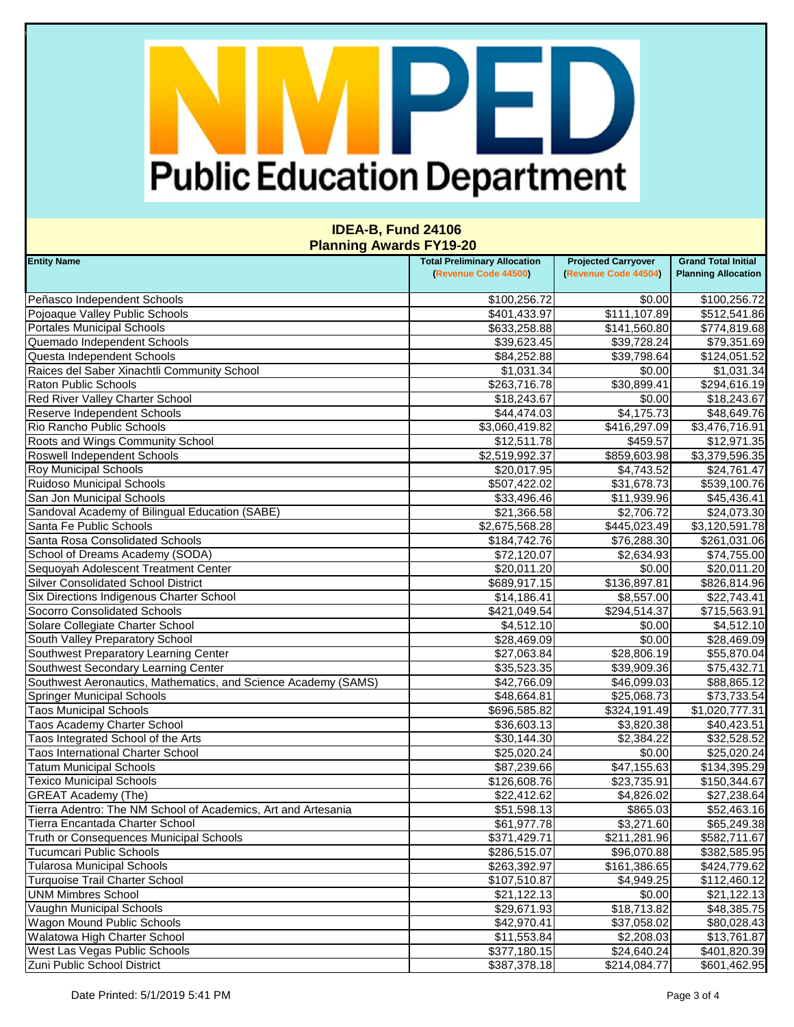# PED **Public Education Department**

#### **IDEA-B, Fund 24106 Planning Awards FY19-20**

| <b>Entity Name</b>                                             | <b>Total Preliminary Allocation</b> | <b>Projected Carryover</b> | <b>Grand Total Initial</b> |
|----------------------------------------------------------------|-------------------------------------|----------------------------|----------------------------|
|                                                                | (Revenue Code 44500)                | (Revenue Code 44504)       | <b>Planning Allocation</b> |
| Peñasco Independent Schools                                    | \$100,256.72                        | \$0.00                     | \$100,256.72               |
| Pojoaque Valley Public Schools                                 | \$401,433.97                        | \$111,107.89               | \$512,541.86               |
| <b>Portales Municipal Schools</b>                              | \$633,258.88                        | \$141,560.80               | \$774,819.68               |
| Quemado Independent Schools                                    | \$39,623.45                         | \$39,728.24                | \$79,351.69                |
| Questa Independent Schools                                     | \$84,252.88                         | \$39,798.64                | \$124,051.52               |
| Raices del Saber Xinachtli Community School                    | \$1,031.34                          | \$0.00                     | \$1,031.34                 |
| <b>Raton Public Schools</b>                                    | \$263,716.78                        | \$30,899.41                | \$294,616.19               |
| <b>Red River Valley Charter School</b>                         | \$18,243.67                         | \$0.00                     | \$18,243.67                |
| Reserve Independent Schools                                    | \$44,474.03                         | \$4,175.73                 | \$48,649.76                |
| Rio Rancho Public Schools                                      | \$3,060,419.82                      | \$416,297.09               | \$3,476,716.91             |
| Roots and Wings Community School                               | \$12,511.78                         | \$459.57                   | \$12,971.35                |
| Roswell Independent Schools                                    | \$2,519,992.37                      | \$859,603.98               | \$3,379,596.35             |
| <b>Roy Municipal Schools</b>                                   | \$20,017.95                         | \$4,743.52                 | \$24,761.47                |
| <b>Ruidoso Municipal Schools</b>                               | \$507,422.02                        | \$31,678.73                | \$539,100.76               |
| San Jon Municipal Schools                                      | \$33,496.46                         | \$11,939.96                | \$45,436.41                |
| Sandoval Academy of Bilingual Education (SABE)                 | \$21,366.58                         | \$2,706.72                 | \$24,073.30                |
| Santa Fe Public Schools                                        | \$2,675,568.28                      | \$445,023.49               | \$3,120,591.78             |
| Santa Rosa Consolidated Schools                                | \$184,742.76                        | \$76,288.30                | \$261,031.06               |
| School of Dreams Academy (SODA)                                | \$72,120.07                         | \$2,634.93                 | \$74,755.00                |
| Sequoyah Adolescent Treatment Center                           | \$20,011.20                         | \$0.00                     | \$20,011.20                |
| <b>Silver Consolidated School District</b>                     | \$689,917.15                        | \$136,897.81               | \$826,814.96               |
| Six Directions Indigenous Charter School                       | \$14,186.41                         | \$8,557.00                 | \$22,743.41                |
| Socorro Consolidated Schools                                   | \$421,049.54                        | \$294,514.37               | \$715,563.91               |
| Solare Collegiate Charter School                               | \$4,512.10                          | \$0.00                     | \$4,512.10                 |
| South Valley Preparatory School                                | \$28,469.09                         | \$0.00                     | \$28,469.09                |
| Southwest Preparatory Learning Center                          | \$27,063.84                         | \$28,806.19                | \$55,870.04                |
| Southwest Secondary Learning Center                            | \$35,523.35                         | \$39,909.36                | \$75,432.71                |
| Southwest Aeronautics, Mathematics, and Science Academy (SAMS) | \$42,766.09                         | \$46,099.03                | \$88,865.12                |
| <b>Springer Municipal Schools</b>                              | \$48,664.81                         | \$25,068.73                | \$73,733.54                |
| <b>Taos Municipal Schools</b>                                  | \$696,585.82                        | \$324,191.49               | \$1,020,777.31             |
| Taos Academy Charter School                                    | \$36,603.13                         | \$3,820.38                 | \$40,423.51                |
| Taos Integrated School of the Arts                             | \$30,144.30                         | \$2,384.22                 | \$32,528.52                |
| <b>Taos International Charter School</b>                       | \$25,020.24                         | \$0.00                     | \$25,020.24                |
| <b>Tatum Municipal Schools</b>                                 | \$87,239.66                         | \$47,155.63                | \$134,395.29               |
| <b>Texico Municipal Schools</b>                                | \$126,608.76                        | \$23,735.91                | \$150,344.67               |
| <b>GREAT Academy (The)</b>                                     | \$22,412.62                         | \$4,826.02                 | \$27,238.64                |
| Tierra Adentro: The NM School of Academics, Art and Artesania  | \$51,598.13                         | \$865.03                   | \$52,463.16                |
| Tierra Encantada Charter School                                | \$61,977.78                         | \$3,271.60                 | \$65,249.38                |
| Truth or Consequences Municipal Schools                        | \$371,429.71                        | \$211,281.96               | \$582,711.67               |
| <b>Tucumcari Public Schools</b>                                | \$286,515.07                        | \$96,070.88                | \$382,585.95               |
| <b>Tularosa Municipal Schools</b>                              | \$263,392.97                        | \$161,386.65               | \$424,779.62               |
| <b>Turquoise Trail Charter School</b>                          | \$107,510.87                        | \$4,949.25                 | \$112,460.12               |
| <b>UNM Mimbres School</b>                                      | \$21,122.13                         | \$0.00                     | \$21,122.13                |
| Vaughn Municipal Schools                                       | \$29,671.93                         | \$18,713.82                | \$48,385.75                |
| <b>Wagon Mound Public Schools</b>                              | \$42,970.41                         | \$37,058.02                | \$80,028.43                |
| <b>Walatowa High Charter School</b>                            | \$11,553.84                         | \$2,208.03                 | \$13,761.87                |
| <b>West Las Vegas Public Schools</b>                           | \$377,180.15                        | \$24,640.24                | \$401,820.39               |
| Zuni Public School District                                    | \$387,378.18                        | \$214,084.77               | \$601,462.95               |